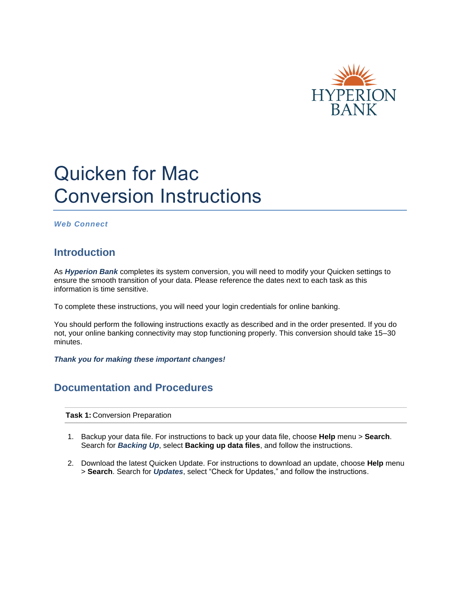

## Quicken for Mac Conversion Instructions

*Web Connect*

## **Introduction**

As *Hyperion Bank* completes its system conversion, you will need to modify your Quicken settings to ensure the smooth transition of your data. Please reference the dates next to each task as this information is time sensitive.

To complete these instructions, you will need your login credentials for online banking.

You should perform the following instructions exactly as described and in the order presented. If you do not, your online banking connectivity may stop functioning properly. This conversion should take 15–30 minutes.

*Thank you for making these important changes!*

## **Documentation and Procedures**

**Task 1:** Conversion Preparation

- 1. Backup your data file. For instructions to back up your data file, choose **Help** menu > **Search**. Search for *Backing Up*, select **Backing up data files**, and follow the instructions.
- 2. Download the latest Quicken Update. For instructions to download an update, choose **Help** menu > **Search**. Search for *Updates*, select "Check for Updates," and follow the instructions.